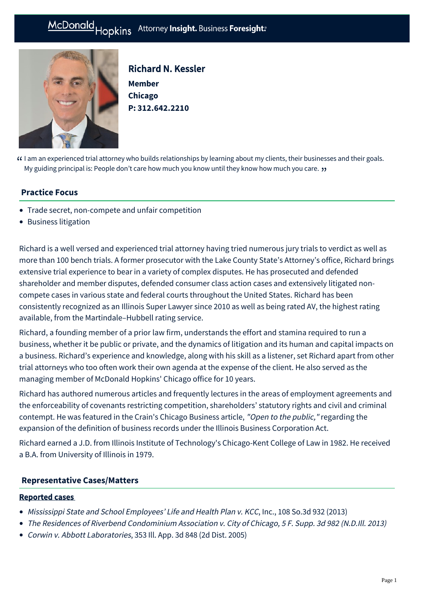# McDonald Hopkins Attorney Insight. Business Foresight:



Richard N. Kessler **Member Chicago P: [312.642.2210](tel:312.642.2210)**

 $\Omega$  I am an experienced trial attorney who builds relationships by learning about my clients, their businesses and their goals.<br>My guiding principal is: People don't care how much you know until they know how much you ca My guiding principal is: People don't care how much you know until they know how much you care. **››**<br>.

## **Practice Focus**

- [Trade secret, non-compete and unfair competition](https://mcdonaldhopkins.com/Expertise/Litigation/Tradesecret-noncompete-unfair-competition)
- [Business litigation](https://mcdonaldhopkins.com/Expertise/Litigation/Business-litigation)

Richard is a well versed and experienced trial attorney having tried numerous jury trials to verdict as well as more than 100 bench trials. A former prosecutor with the Lake County State's Attorney's office, Richard brings extensive trial experience to bear in a variety of complex disputes. He has prosecuted and defended shareholder and member disputes, defended consumer class action cases and extensively litigated noncompete cases in various state and federal courts throughout the United States. Richard has been consistently recognized as an Illinois Super Lawyer since 2010 as well as being rated AV, the highest rating available, from the Martindale–Hubbell rating service.

Richard, a founding member of a prior law firm, understands the effort and stamina required to run a business, whether it be public or private, and the dynamics of litigation and its human and capital impacts on a business. Richard's experience and knowledge, along with his skill as a listener, set Richard apart from other trial attorneys who too often work their own agenda at the expense of the client. He also served as the managing member of McDonald Hopkins' Chicago office for 10 years.

Richard has authored numerous articles and frequently lectures in the areas of employment agreements and the enforceability of covenants restricting competition, shareholders' statutory rights and civil and criminal contempt. He was featured in the Crain's Chicago Business article, ["Open to the public](http://www.chicagobusiness.com/article/20050604/ISSUE02/100023794/open-to-the-public#)," regarding the expansion of the definition of business records under the Illinois Business Corporation Act.

Richard earned a J.D. from Illinois Institute of Technology's Chicago-Kent College of Law in 1982. He received a B.A. from University of Illinois in 1979.

#### **[Representative Cases/Matters](#page-0-0)**

#### <span id="page-0-0"></span>Reported cases

- Mississippi State and School Employees' Life and Health Plan v. KCC, Inc., 108 So.3d 932 (2013)
- The Residences of Riverbend Condominium Association v. City of Chicago, 5 F. Supp. 3d 982 (N.D.Ill. 2013)
- Corwin v. Abbott Laboratories, 353 Ill. App. 3d 848 (2d Dist. 2005)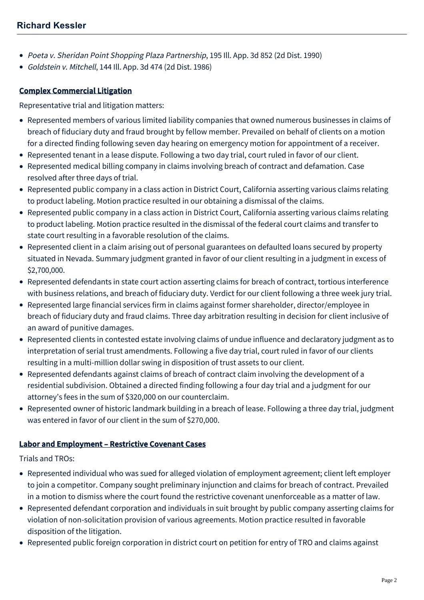- Poeta v. Sheridan Point Shopping Plaza Partnership, 195 Ill. App. 3d 852 (2d Dist. 1990)
- Goldstein v. Mitchell, 144 Ill. App. 3d 474 (2d Dist. 1986)

# Complex Commercial Litigation

Representative trial and litigation matters:

- Represented members of various limited liability companies that owned numerous businesses in claims of breach of fiduciary duty and fraud brought by fellow member. Prevailed on behalf of clients on a motion for a directed finding following seven day hearing on emergency motion for appointment of a receiver.
- Represented tenant in a lease dispute. Following a two day trial, court ruled in favor of our client.
- Represented medical billing company in claims involving breach of contract and defamation. Case resolved after three days of trial.
- Represented public company in a class action in District Court, California asserting various claims relating to product labeling. Motion practice resulted in our obtaining a dismissal of the claims.
- Represented public company in a class action in District Court, California asserting various claims relating to product labeling. Motion practice resulted in the dismissal of the federal court claims and transfer to state court resulting in a favorable resolution of the claims.
- Represented client in a claim arising out of personal guarantees on defaulted loans secured by property situated in Nevada. Summary judgment granted in favor of our client resulting in a judgment in excess of \$2,700,000.
- Represented defendants in state court action asserting claims for breach of contract, tortious interference with business relations, and breach of fiduciary duty. Verdict for our client following a three week jury trial.
- Represented large financial services firm in claims against former shareholder, director/employee in breach of fiduciary duty and fraud claims. Three day arbitration resulting in decision for client inclusive of an award of punitive damages.
- Represented clients in contested estate involving claims of undue influence and declaratory judgment as to interpretation of serial trust amendments. Following a five day trial, court ruled in favor of our clients resulting in a multi-million dollar swing in disposition of trust assets to our client.
- Represented defendants against claims of breach of contract claim involving the development of a residential subdivision. Obtained a directed finding following a four day trial and a judgment for our attorney's fees in the sum of \$320,000 on our counterclaim.
- Represented owner of historic landmark building in a breach of lease. Following a three day trial, judgment was entered in favor of our client in the sum of \$270,000.

## Labor and Employment – Restrictive Covenant Cases

Trials and TROs:

- Represented individual who was sued for alleged violation of employment agreement; client left employer to join a competitor. Company sought preliminary injunction and claims for breach of contract. Prevailed in a motion to dismiss where the court found the restrictive covenant unenforceable as a matter of law.
- Represented defendant corporation and individuals in suit brought by public company asserting claims for violation of non-solicitation provision of various agreements. Motion practice resulted in favorable disposition of the litigation.
- Represented public foreign corporation in district court on petition for entry of TRO and claims against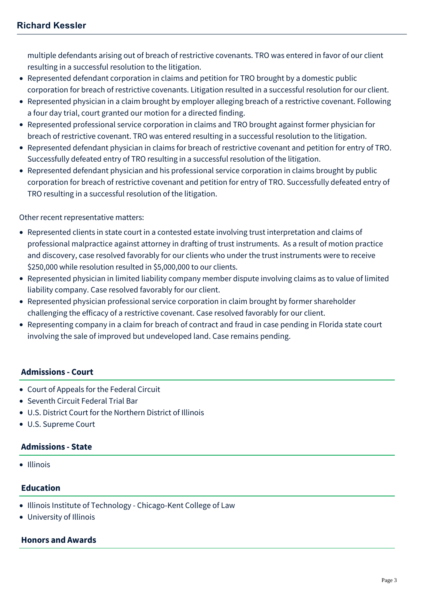multiple defendants arising out of breach of restrictive covenants. TRO was entered in favor of our client resulting in a successful resolution to the litigation.

- Represented defendant corporation in claims and petition for TRO brought by a domestic public corporation for breach of restrictive covenants. Litigation resulted in a successful resolution for our client.
- Represented physician in a claim brought by employer alleging breach of a restrictive covenant. Following a four day trial, court granted our motion for a directed finding.
- Represented professional service corporation in claims and TRO brought against former physician for breach of restrictive covenant. TRO was entered resulting in a successful resolution to the litigation.
- Represented defendant physician in claims for breach of restrictive covenant and petition for entry of TRO. Successfully defeated entry of TRO resulting in a successful resolution of the litigation.
- Represented defendant physician and his professional service corporation in claims brought by public corporation for breach of restrictive covenant and petition for entry of TRO. Successfully defeated entry of TRO resulting in a successful resolution of the litigation.

#### Other recent representative matters:

- Represented clients in state court in a contested estate involving trust interpretation and claims of professional malpractice against attorney in drafting of trust instruments. As a result of motion practice and discovery, case resolved favorably for our clients who under the trust instruments were to receive \$250,000 while resolution resulted in \$5,000,000 to our clients.
- Represented physician in limited liability company member dispute involving claims as to value of limited liability company. Case resolved favorably for our client.
- Represented physician professional service corporation in claim brought by former shareholder challenging the efficacy of a restrictive covenant. Case resolved favorably for our client.
- Representing company in a claim for breach of contract and fraud in case pending in Florida state court involving the sale of improved but undeveloped land. Case remains pending.

## **Admissions - Court**

- Court of Appeals for the Federal Circuit
- Seventh Circuit Federal Trial Bar
- U.S. District Court for the Northern District of Illinois
- U.S. Supreme Court

## **Admissions - State**

• Illinois

## **Education**

- Illinois Institute of Technology Chicago-Kent College of Law
- University of Illinois

#### **Honors and Awards**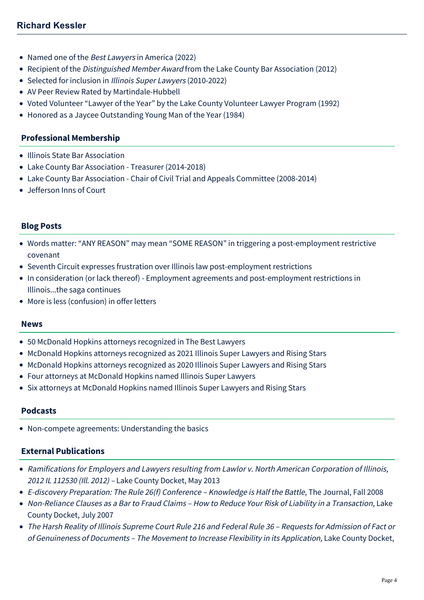- Named one of the Best Lawyers in America (2022)
- Recipient of the *[Distinguished Member Award](https://mcdonaldhopkins.com/documents/attorney/Kessler%20-%20Distinguished%20Member%20Award.pdf)* from the Lake County Bar Association (2012)
- Selected for inclusion in [Illinois Super Lawyers](http://www.superlawyers.com/illinois/lawyer/Richard-N-Kessler/3c8752b0-ffe4-4729-8c92-d4723110cebb.html) (2010-2022)
- AV Peer Review Rated by Martindale-Hubbell
- Voted Volunteer "Lawyer of the Year" by the Lake County Volunteer Lawyer Program (1992)
- Honored as a Jaycee Outstanding Young Man of the Year (1984)

#### **Professional Membership**

- Illinois State Bar Association
- Lake County Bar Association Treasurer (2014-2018)
- Lake County Bar Association Chair of Civil Trial and Appeals Committee (2008-2014)
- Jefferson Inns of Court

#### **Blog Posts**

- [Words matter: "ANY REASON" may mean "SOME REASON" in triggering a post-employment restrictive](https://mcdonaldhopkins.com/Insights/August-2020/Words-matter-in-triggering-post-employment-restric) covenant
- [Seventh Circuit expresses frustration over Illinois law post-employment restrictions](https://mcdonaldhopkins.com/Insights/August-2015/Seventh-Circuit-expresses-frustration-over-Illinoi)
- [In consideration \(or lack thereof\) Employment agreements and post-employment restrictions in](https://mcdonaldhopkins.com/Insights/July-2015/In-consideration-(or-lack-thereof)-%E2%80%93-Employment-ag) Illinois...the saga continues
- [More is less \(confusion\) in offer letters](https://mcdonaldhopkins.com/Insights/June-2015/More-is-less-(confusion)-in-offer-letters)

#### **News**

- [50 McDonald Hopkins attorneys recognized in The Best Lawyers](https://mcdonaldhopkins.com/Insights/August-2021/50-McDonald-Hopkins-attorneys-recognized-in-The-Be)
- [McDonald Hopkins attorneys recognized as 2021 Illinois Super Lawyers and Rising Stars](https://mcdonaldhopkins.com/Insights/January-2021/McDonald-Hopkins-attorneys-recognized-as-2021-Illi)
- [McDonald Hopkins attorneys recognized as 2020 Illinois Super Lawyers and Rising Stars](https://mcdonaldhopkins.com/Insights/February-2020/McDonald-Hopkins-attorneys-recognized-as-2020-Illi)
- [Four attorneys at McDonald Hopkins named Illinois Super Lawyers](https://mcdonaldhopkins.com/Insights/January-2017/Four-attorneys-at-McDonald-Hopkins-named-Illinois)
- [Six attorneys at McDonald Hopkins named Illinois Super Lawyers and Rising Stars](https://mcdonaldhopkins.com/Insights/January-2015/Six-attorneys-at-McDonald-Hopkins-named-Illinois-S)

#### **Podcasts**

[Non-compete agreements: Understanding the basics](https://mcdonaldhopkins.com/Insights/January-2020/Non-compete-agreements-Understanding-the-basics)

#### **External Publications**

- Ramifications for Employers and Lawyers resulting from Lawlor v. North American Corporation of Illinois, 2012 IL 112530 (Ill. 2012) – Lake County Docket, May 2013
- E-discovery Preparation: The Rule 26(f) Conference Knowledge is Half the Battle, The Journal, Fall 2008
- Non-Reliance Clauses as a Bar to Fraud Claims How to Reduce Your Risk of Liability in a Transaction, Lake County Docket, July 2007
- The Harsh Reality of Illinois Supreme Court Rule 216 and Federal Rule 36 Requests for Admission of Fact or of Genuineness of Documents – The Movement to Increase Flexibility in its Application, Lake County Docket,